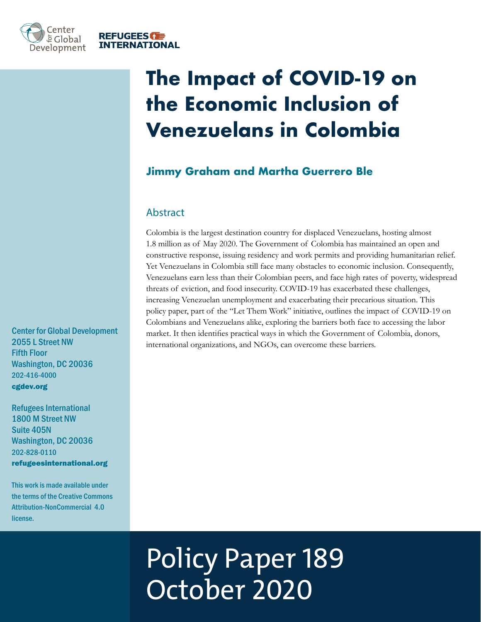

# **The Impact of COVID-19 on the Economic Inclusion of Venezuelans in Colombia**

# **Jimmy Graham and Martha Guerrero Ble**

#### Abstract

Colombia is the largest destination country for displaced Venezuelans, hosting almost 1.8 million as of May 2020. The Government of Colombia has maintained an open and constructive response, issuing residency and work permits and providing humanitarian relief. Yet Venezuelans in Colombia still face many obstacles to economic inclusion. Consequently, Venezuelans earn less than their Colombian peers, and face high rates of poverty, widespread threats of eviction, and food insecurity. COVID-19 has exacerbated these challenges, increasing Venezuelan unemployment and exacerbating their precarious situation. This policy paper, part of the "Let Them Work" initiative, outlines the impact of COVID-19 on Colombians and Venezuelans alike, exploring the barriers both face to accessing the labor market. It then identifies practical ways in which the Government of Colombia, donors, international organizations, and NGOs, can overcome these barriers.

Center for Global Development 2055 L Street NW Fifth Floor Washington, DC 20036 202-416-4000 cgdev.org

Refugees International 1800 M Street NW Suite 405N Washington, DC 20036 202-828-0110 refugeesinternational.org

This work is made available under the terms of the Creative Commons Attribution-NonCommercial 4.0 license.

# Policy Paper 189 October 2020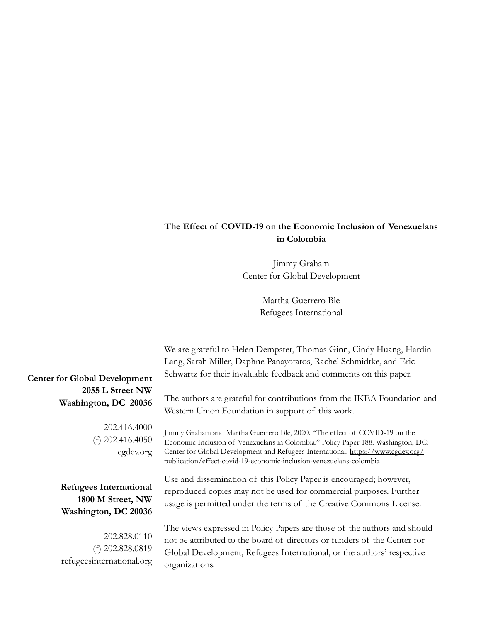#### **The Effect of COVID-19 on the Economic Inclusion of Venezuelans in Colombia**

Jimmy Graham Center for Global Development

> Martha Guerrero Ble Refugees International

| We are grateful to Helen Dempster, Thomas Ginn, Cindy Huang, Hardin<br>Lang, Sarah Miller, Daphne Panayotatos, Rachel Schmidtke, and Eric<br>Schwartz for their invaluable feedback and comments on this paper.                                                                                                            |
|----------------------------------------------------------------------------------------------------------------------------------------------------------------------------------------------------------------------------------------------------------------------------------------------------------------------------|
| The authors are grateful for contributions from the IKEA Foundation and<br>Western Union Foundation in support of this work.                                                                                                                                                                                               |
| Jimmy Graham and Martha Guerrero Ble, 2020. "The effect of COVID-19 on the<br>Economic Inclusion of Venezuelans in Colombia." Policy Paper 188. Washington, DC:<br>Center for Global Development and Refugees International. https://www.cgdev.org/<br>publication/effect-covid-19-economic-inclusion-venezuelans-colombia |
| Use and dissemination of this Policy Paper is encouraged; however,<br>reproduced copies may not be used for commercial purposes. Further<br>usage is permitted under the terms of the Creative Commons License.                                                                                                            |
| The views expressed in Policy Papers are those of the authors and should<br>not be attributed to the board of directors or funders of the Center for<br>Global Development, Refugees International, or the authors' respective<br>organizations.                                                                           |
|                                                                                                                                                                                                                                                                                                                            |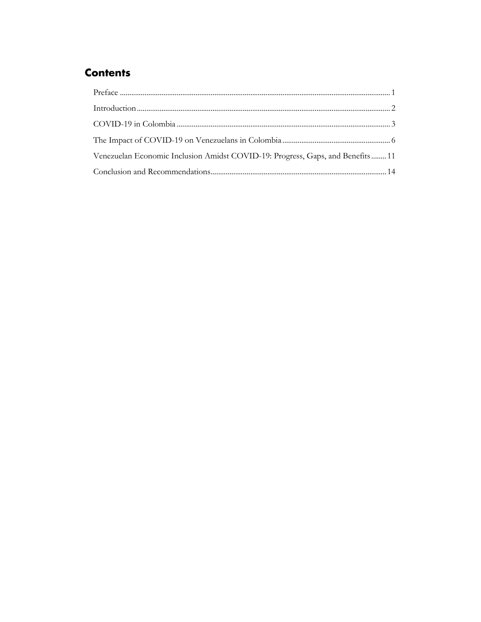# **Contents**

| Venezuelan Economic Inclusion Amidst COVID-19: Progress, Gaps, and Benefits 11 |  |
|--------------------------------------------------------------------------------|--|
|                                                                                |  |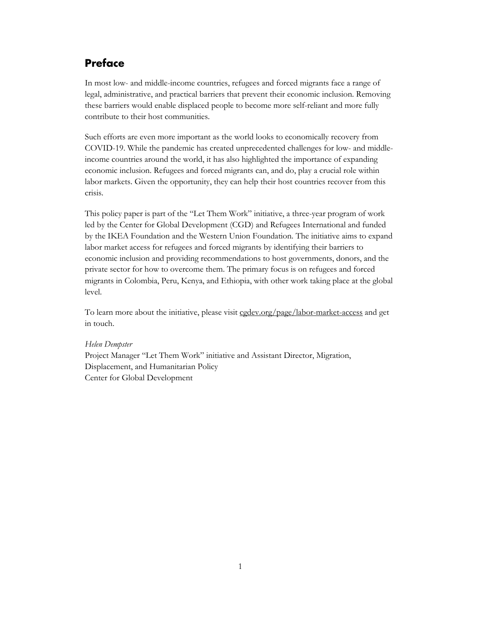## **Preface**

In most low- and middle-income countries, refugees and forced migrants face a range of legal, administrative, and practical barriers that prevent their economic inclusion. Removing these barriers would enable displaced people to become more self-reliant and more fully contribute to their host communities.

Such efforts are even more important as the world looks to economically recovery from COVID-19. While the pandemic has created unprecedented challenges for low- and middleincome countries around the world, it has also highlighted the importance of expanding economic inclusion. Refugees and forced migrants can, and do, play a crucial role within labor markets. Given the opportunity, they can help their host countries recover from this crisis.

This policy paper is part of the "Let Them Work" initiative, a three-year program of work led by the Center for Global Development (CGD) and Refugees International and funded by the IKEA Foundation and the Western Union Foundation. The initiative aims to expand labor market access for refugees and forced migrants by identifying their barriers to economic inclusion and providing recommendations to host governments, donors, and the private sector for how to overcome them. The primary focus is on refugees and forced migrants in Colombia, Peru, Kenya, and Ethiopia, with other work taking place at the global level.

To learn more about the initiative, please visit cgdev.org/page/labor-market-access and get in touch.

#### *Helen Dempster*

Project Manager "Let Them Work" initiative and Assistant Director, Migration, Displacement, and Humanitarian Policy Center for Global Development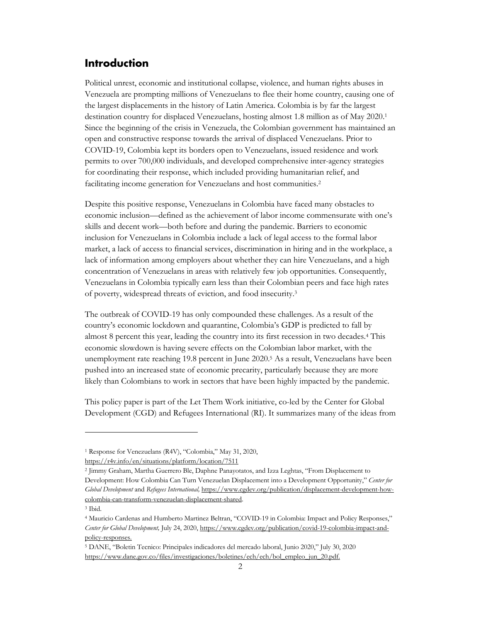#### **Introduction**

Political unrest, economic and institutional collapse, violence, and human rights abuses in Venezuela are prompting millions of Venezuelans to flee their home country, causing one of the largest displacements in the history of Latin America. Colombia is by far the largest destination country for displaced Venezuelans, hosting almost 1.8 million as of May 2020.1 Since the beginning of the crisis in Venezuela, the Colombian government has maintained an open and constructive response towards the arrival of displaced Venezuelans. Prior to COVID-19, Colombia kept its borders open to Venezuelans, issued residence and work permits to over 700,000 individuals, and developed comprehensive inter-agency strategies for coordinating their response, which included providing humanitarian relief, and facilitating income generation for Venezuelans and host communities.<sup>2</sup>

Despite this positive response, Venezuelans in Colombia have faced many obstacles to economic inclusion—defined as the achievement of labor income commensurate with one's skills and decent work—both before and during the pandemic. Barriers to economic inclusion for Venezuelans in Colombia include a lack of legal access to the formal labor market, a lack of access to financial services, discrimination in hiring and in the workplace, a lack of information among employers about whether they can hire Venezuelans, and a high concentration of Venezuelans in areas with relatively few job opportunities. Consequently, Venezuelans in Colombia typically earn less than their Colombian peers and face high rates of poverty, widespread threats of eviction, and food insecurity.3

The outbreak of COVID-19 has only compounded these challenges. As a result of the country's economic lockdown and quarantine, Colombia's GDP is predicted to fall by almost 8 percent this year, leading the country into its first recession in two decades.4 This economic slowdown is having severe effects on the Colombian labor market, with the unemployment rate reaching 19.8 percent in June 2020.5 As a result, Venezuelans have been pushed into an increased state of economic precarity, particularly because they are more likely than Colombians to work in sectors that have been highly impacted by the pandemic.

This policy paper is part of the Let Them Work initiative, co-led by the Center for Global Development (CGD) and Refugees International (RI). It summarizes many of the ideas from

<sup>1</sup> Response for Venezuelans (R4V), "Colombia," May 31, 2020,

https://r4v.info/en/situations/platform/location/7511

<sup>2</sup> Jimmy Graham, Martha Guerrero Ble, Daphne Panayotatos, and Izza Leghtas, "From Displacement to Development: How Colombia Can Turn Venezuelan Displacement into a Development Opportunity," *Center for Global Development* and *Refugees International,* https://www.cgdev.org/publication/displacement-development-howcolombia-can-transform-venezuelan-displacement-shared.

<sup>3</sup> Ibid.

<sup>4</sup> Mauricio Cardenas and Humberto Martinez Beltran, "COVID-19 in Colombia: Impact and Policy Responses," *Center for Global Development,* July 24, 2020, https://www.cgdev.org/publication/covid-19-colombia-impact-andpolicy-responses.

<sup>5</sup> DANE, "Boletin Tecnico: Principales indicadores del mercado laboral, Junio 2020," July 30, 2020 https://www.dane.gov.co/files/investigaciones/boletines/ech/ech/bol\_empleo\_jun\_20.pdf.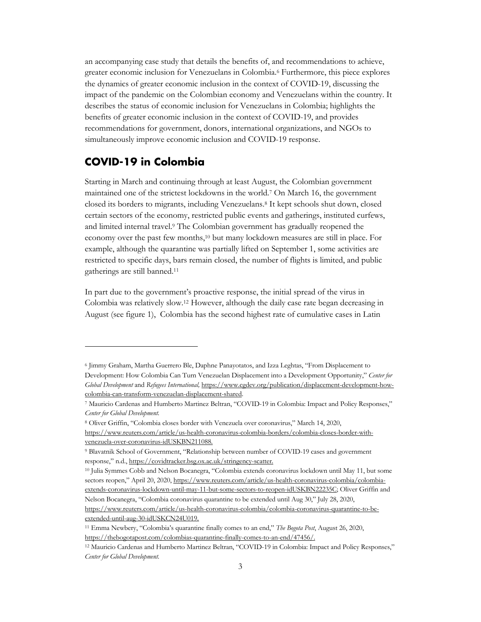an accompanying case study that details the benefits of, and recommendations to achieve, greater economic inclusion for Venezuelans in Colombia.6 Furthermore, this piece explores the dynamics of greater economic inclusion in the context of COVID-19, discussing the impact of the pandemic on the Colombian economy and Venezuelans within the country. It describes the status of economic inclusion for Venezuelans in Colombia; highlights the benefits of greater economic inclusion in the context of COVID-19, and provides recommendations for government, donors, international organizations, and NGOs to simultaneously improve economic inclusion and COVID-19 response.

#### **COVID-19 in Colombia**

Starting in March and continuing through at least August, the Colombian government maintained one of the strictest lockdowns in the world.7 On March 16, the government closed its borders to migrants, including Venezuelans.8 It kept schools shut down, closed certain sectors of the economy, restricted public events and gatherings, instituted curfews, and limited internal travel.9 The Colombian government has gradually reopened the economy over the past few months,10 but many lockdown measures are still in place. For example, although the quarantine was partially lifted on September 1, some activities are restricted to specific days, bars remain closed, the number of flights is limited, and public gatherings are still banned.11

In part due to the government's proactive response, the initial spread of the virus in Colombia was relatively slow.12 However, although the daily case rate began decreasing in August (see figure 1), Colombia has the second highest rate of cumulative cases in Latin

<sup>8</sup> Oliver Griffin, "Colombia closes border with Venezuela over coronavirus," March 14, 2020,

<sup>6</sup> Jimmy Graham, Martha Guerrero Ble, Daphne Panayotatos, and Izza Leghtas, "From Displacement to Development: How Colombia Can Turn Venezuelan Displacement into a Development Opportunity," *Center for Global Development* and *Refugees International,* https://www.cgdev.org/publication/displacement-development-howcolombia-can-transform-venezuelan-displacement-shared.

<sup>7</sup> Mauricio Cardenas and Humberto Martinez Beltran, "COVID-19 in Colombia: Impact and Policy Responses," *Center for Global Development.*

https://www.reuters.com/article/us-health-coronavirus-colombia-borders/colombia-closes-border-withvenezuela-over-coronavirus-idUSKBN211088.

<sup>9</sup> Blavatnik School of Government, "Relationship between number of COVID-19 cases and government response," n.d., https://covidtracker.bsg.ox.ac.uk/stringency-scatter.

<sup>10</sup> Julia Symmes Cobb and Nelson Bocanegra, "Colombia extends coronavirus lockdown until May 11, but some sectors reopen," April 20, 2020, https://www.reuters.com/article/us-health-coronavirus-colombia/colombiaextends-coronavirus-lockdown-until-may-11-but-some-sectors-to-reopen-idUSKBN22235C; Oliver Griffin and Nelson Bocanegra, "Colombia coronavirus quarantine to be extended until Aug 30," July 28, 2020,

https://www.reuters.com/article/us-health-coronavirus-colombia/colombia-coronavirus-quarantine-to-beextended-until-aug-30-idUSKCN24U019.

<sup>11</sup> Emma Newbery, "Colombia's quarantine finally comes to an end," *The Bogota Post*, August 26, 2020, https://thebogotapost.com/colombias-quarantine-finally-comes-to-an-end/47456/.

<sup>12</sup> Mauricio Cardenas and Humberto Martinez Beltran, "COVID-19 in Colombia: Impact and Policy Responses," *Center for Global Development.*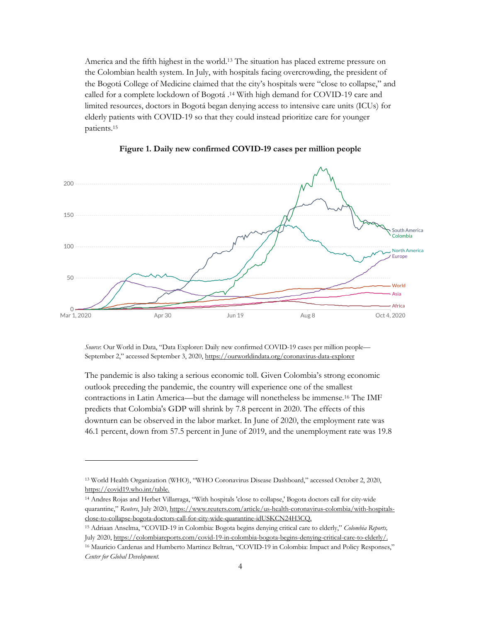America and the fifth highest in the world.13 The situation has placed extreme pressure on the Colombian health system. In July, with hospitals facing overcrowding, the president of the Bogotá College of Medicine claimed that the city's hospitals were "close to collapse," and called for a complete lockdown of Bogotá .14 With high demand for COVID-19 care and limited resources, doctors in Bogotá began denying access to intensive care units (ICUs) for elderly patients with COVID-19 so that they could instead prioritize care for younger patients.15



**Figure 1. Daily new confirmed COVID-19 cases per million people**

*Source*: Our World in Data, "Data Explorer: Daily new confirmed COVID-19 cases per million people— September 2," accessed September 3, 2020, https://ourworldindata.org/coronavirus-data-explorer

The pandemic is also taking a serious economic toll. Given Colombia's strong economic outlook preceding the pandemic, the country will experience one of the smallest contractions in Latin America—but the damage will nonetheless be immense.16 The IMF predicts that Colombia's GDP will shrink by 7.8 percent in 2020. The effects of this downturn can be observed in the labor market. In June of 2020, the employment rate was 46.1 percent, down from 57.5 percent in June of 2019, and the unemployment rate was 19.8

<sup>13</sup> World Health Organization (WHO), "WHO Coronavirus Disease Dashboard," accessed October 2, 2020, https://covid19.who.int/table.

<sup>14</sup> Andres Rojas and Herbet Villarraga, "With hospitals 'close to collapse,' Bogota doctors call for city-wide quarantine," Reuters, July 2020, https://www.reuters.com/article/us-health-coronavirus-colombia/with-hospitalsclose-to-collapse-bogota-doctors-call-for-city-wide-quarantine-idUSKCN24H3CQ.

<sup>15</sup> Adriaan Anselma, "COVID-19 in Colombia: Bogota begins denying critical care to elderly," *Colombia Reports,*  July 2020, https://colombiareports.com/covid-19-in-colombia-bogota-begins-denying-critical-care-to-elderly/.

<sup>16</sup> Mauricio Cardenas and Humberto Martinez Beltran, "COVID-19 in Colombia: Impact and Policy Responses," *Center for Global Development.*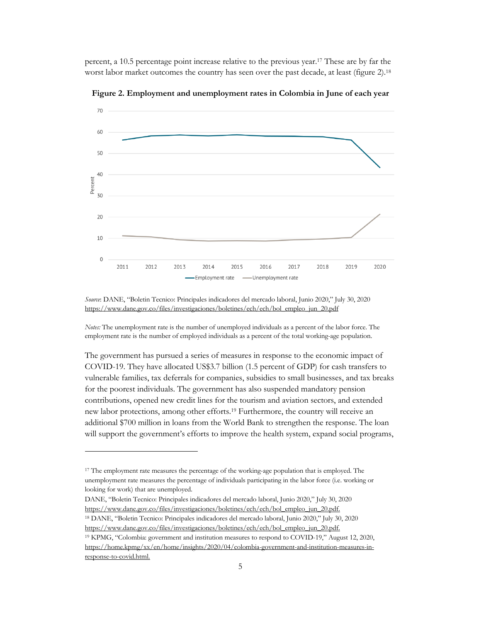percent, a 10.5 percentage point increase relative to the previous year.17 These are by far the worst labor market outcomes the country has seen over the past decade, at least (figure 2).<sup>18</sup>



**Figure 2. Employment and unemployment rates in Colombia in June of each year** 

*Notes:* The unemployment rate is the number of unemployed individuals as a percent of the labor force. The employment rate is the number of employed individuals as a percent of the total working-age population.

The government has pursued a series of measures in response to the economic impact of COVID-19. They have allocated US\$3.7 billion (1.5 percent of GDP) for cash transfers to vulnerable families, tax deferrals for companies, subsidies to small businesses, and tax breaks for the poorest individuals. The government has also suspended mandatory pension contributions, opened new credit lines for the tourism and aviation sectors, and extended new labor protections, among other efforts.19 Furthermore, the country will receive an additional \$700 million in loans from the World Bank to strengthen the response. The loan will support the government's efforts to improve the health system, expand social programs,

*Source*: DANE, "Boletin Tecnico: Principales indicadores del mercado laboral, Junio 2020," July 30, 2020 https://www.dane.gov.co/files/investigaciones/boletines/ech/ech/bol\_empleo\_jun\_20.pdf

<sup>17</sup> The employment rate measures the percentage of the working-age population that is employed. The unemployment rate measures the percentage of individuals participating in the labor force (i.e. working or looking for work) that are unemployed.

DANE, "Boletin Tecnico: Principales indicadores del mercado laboral, Junio 2020," July 30, 2020 https://www.dane.gov.co/files/investigaciones/boletines/ech/ech/bol\_empleo\_jun\_20.pdf. <sup>18</sup> DANE, "Boletin Tecnico: Principales indicadores del mercado laboral, Junio 2020," July 30, 2020

https://www.dane.gov.co/files/investigaciones/boletines/ech/ech/bol\_empleo\_jun\_20.pdf.

<sup>19</sup> KPMG, "Colombia: government and institution measures to respond to COVID-19," August 12, 2020, https://home.kpmg/xx/en/home/insights/2020/04/colombia-government-and-institution-measures-inresponse-to-covid.html.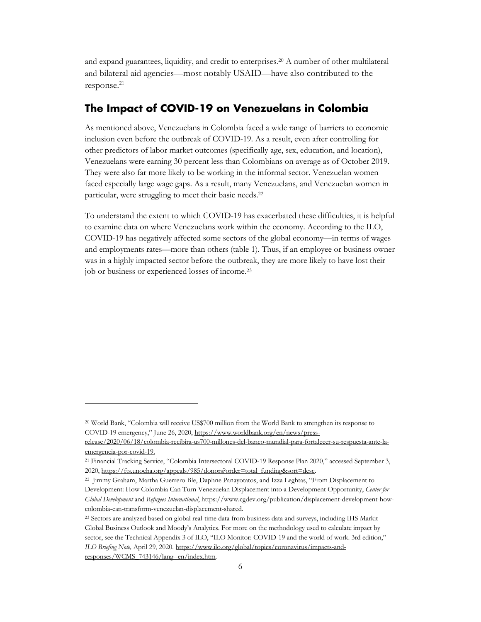and expand guarantees, liquidity, and credit to enterprises.20 A number of other multilateral and bilateral aid agencies—most notably USAID—have also contributed to the response. $^{21}$ 

### **The Impact of COVID-19 on Venezuelans in Colombia**

As mentioned above, Venezuelans in Colombia faced a wide range of barriers to economic inclusion even before the outbreak of COVID-19. As a result, even after controlling for other predictors of labor market outcomes (specifically age, sex, education, and location), Venezuelans were earning 30 percent less than Colombians on average as of October 2019. They were also far more likely to be working in the informal sector. Venezuelan women faced especially large wage gaps. As a result, many Venezuelans, and Venezuelan women in particular, were struggling to meet their basic needs.22

To understand the extent to which COVID-19 has exacerbated these difficulties, it is helpful to examine data on where Venezuelans work within the economy. According to the ILO, COVID-19 has negatively affected some sectors of the global economy—in terms of wages and employments rates—more than others (table 1). Thus, if an employee or business owner was in a highly impacted sector before the outbreak, they are more likely to have lost their job or business or experienced losses of income.23

<sup>20</sup> World Bank, "Colombia will receive US\$700 million from the World Bank to strengthen its response to COVID-19 emergency," June 26, 2020, https://www.worldbank.org/en/news/press-

release/2020/06/18/colombia-recibira-us700-millones-del-banco-mundial-para-fortalecer-su-respuesta-ante-laemergencia-por-covid-19.

<sup>21</sup> Financial Tracking Service, "Colombia Intersectoral COVID-19 Response Plan 2020," accessed September 3, 2020, https://fts.unocha.org/appeals/985/donors?order=total\_funding&sort=desc.

<sup>22</sup> Jimmy Graham, Martha Guerrero Ble, Daphne Panayotatos, and Izza Leghtas, "From Displacement to Development: How Colombia Can Turn Venezuelan Displacement into a Development Opportunity, *Center for Global Development* and *Refugees International*, https://www.cgdev.org/publication/displacement-development-howcolombia-can-transform-venezuelan-displacement-shared.

<sup>23</sup> Sectors are analyzed based on global real-time data from business data and surveys, including IHS Markit Global Business Outlook and Moody's Analytics. For more on the methodology used to calculate impact by sector, see the Technical Appendix 3 of ILO, "ILO Monitor: COVID-19 and the world of work. 3rd edition," *ILO Briefing Note,* April 29, 2020. https://www.ilo.org/global/topics/coronavirus/impacts-andresponses/WCMS\_743146/lang--en/index.htm.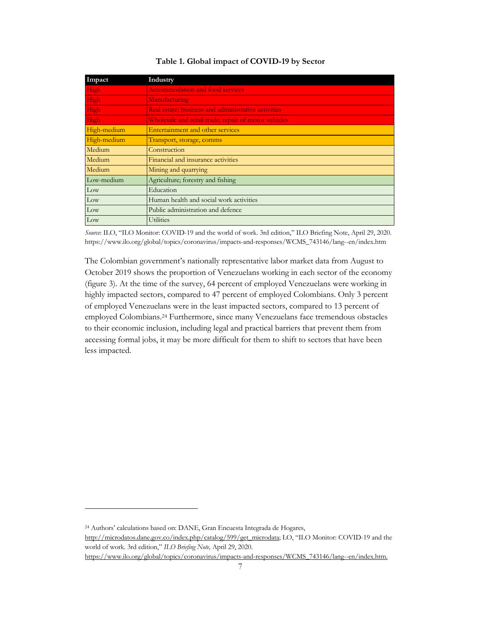| Impact      | Industry                                             |
|-------------|------------------------------------------------------|
| High        | <b>Accommodation and food services</b>               |
| High        | Manufacturing                                        |
| High        | Real estate; business and administrative activities  |
| High        | Wholesale and retail trade; repair of motor vehicles |
| High-medium | Entertainment and other services                     |
| High-medium | Transport, storage, comms                            |
| Medium      | Construction                                         |
| Medium      | Financial and insurance activities                   |
| Medium      | Mining and quarrying                                 |
| Low-medium  | Agriculture; forestry and fishing                    |
| Low         | Education                                            |
| Low         | Human health and social work activities              |
| Low         | Public administration and defence                    |
| Low         | Utilities                                            |

#### **Table 1. Global impact of COVID-19 by Sector**

*Source*: ILO, "ILO Monitor: COVID-19 and the world of work. 3rd edition," ILO Briefing Note, April 29, 2020. https://www.ilo.org/global/topics/coronavirus/impacts-and-responses/WCMS\_743146/lang--en/index.htm

The Colombian government's nationally representative labor market data from August to October 2019 shows the proportion of Venezuelans working in each sector of the economy (figure 3). At the time of the survey, 64 percent of employed Venezuelans were working in highly impacted sectors, compared to 47 percent of employed Colombians. Only 3 percent of employed Venezuelans were in the least impacted sectors, compared to 13 percent of employed Colombians.24 Furthermore, since many Venezuelans face tremendous obstacles to their economic inclusion, including legal and practical barriers that prevent them from accessing formal jobs, it may be more difficult for them to shift to sectors that have been less impacted.

<sup>24</sup> Authors' calculations based on: DANE, Gran Encuesta Integrada de Hogares, http://microdatos.dane.gov.co/index.php/catalog/599/get\_microdata; LO, "ILO Monitor: COVID-19 and the world of work. 3rd edition," *ILO Briefing Note,* April 29, 2020. https://www.ilo.org/global/topics/coronavirus/impacts-and-responses/WCMS\_743146/lang--en/index.htm.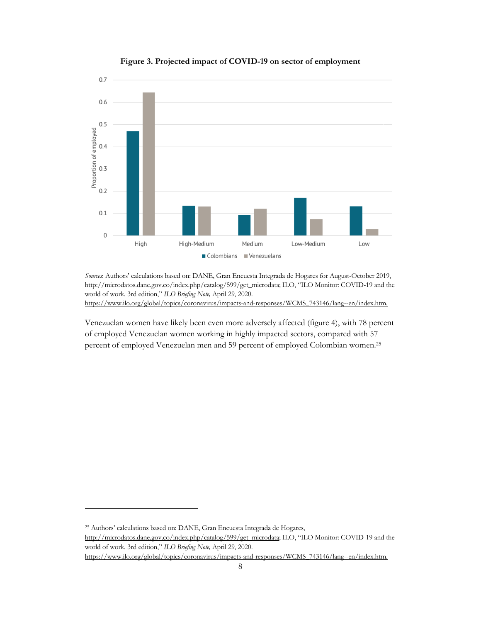

**Figure 3. Projected impact of COVID-19 on sector of employment** 

*Sources*: Authors' calculations based on: DANE, Gran Encuesta Integrada de Hogares for August-October 2019, http://microdatos.dane.gov.co/index.php/catalog/599/get\_microdata; ILO, "ILO Monitor: COVID-19 and the world of work. 3rd edition," *ILO Briefing Note,* April 29, 2020. https://www.ilo.org/global/topics/coronavirus/impacts-and-responses/WCMS\_743146/lang--en/index.htm.

Venezuelan women have likely been even more adversely affected (figure 4), with 78 percent of employed Venezuelan women working in highly impacted sectors, compared with 57 percent of employed Venezuelan men and 59 percent of employed Colombian women.25

<sup>25</sup> Authors' calculations based on: DANE, Gran Encuesta Integrada de Hogares, http://microdatos.dane.gov.co/index.php/catalog/599/get\_microdata; ILO, "ILO Monitor: COVID-19 and the world of work. 3rd edition," *ILO Briefing Note,* April 29, 2020. https://www.ilo.org/global/topics/coronavirus/impacts-and-responses/WCMS\_743146/lang--en/index.htm.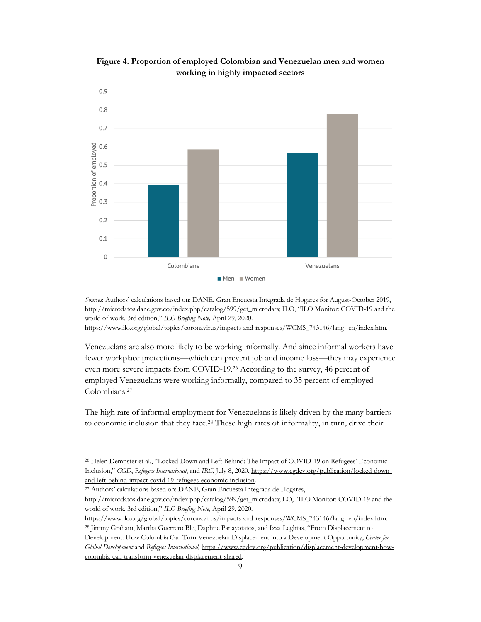

**Figure 4. Proportion of employed Colombian and Venezuelan men and women working in highly impacted sectors**

*Sources*: Authors' calculations based on: DANE, Gran Encuesta Integrada de Hogares for August-October 2019, http://microdatos.dane.gov.co/index.php/catalog/599/get\_microdata; ILO, "ILO Monitor: COVID-19 and the world of work. 3rd edition," *ILO Briefing Note,* April 29, 2020. https://www.ilo.org/global/topics/coronavirus/impacts-and-responses/WCMS\_743146/lang--en/index.htm.

Venezuelans are also more likely to be working informally. And since informal workers have fewer workplace protections—which can prevent job and income loss—they may experience even more severe impacts from COVID-19.26 According to the survey, 46 percent of employed Venezuelans were working informally, compared to 35 percent of employed Colombians.27

The high rate of informal employment for Venezuelans is likely driven by the many barriers to economic inclusion that they face.28 These high rates of informality, in turn, drive their

<sup>27</sup> Authors' calculations based on: DANE, Gran Encuesta Integrada de Hogares,

https://www.ilo.org/global/topics/coronavirus/impacts-and-responses/WCMS\_743146/lang--en/index.htm.

<sup>28</sup> Jimmy Graham, Martha Guerrero Ble, Daphne Panayotatos, and Izza Leghtas, "From Displacement to Development: How Colombia Can Turn Venezuelan Displacement into a Development Opportunity, *Center for Global Development* and *Refugees International,* https://www.cgdev.org/publication/displacement-development-howcolombia-can-transform-venezuelan-displacement-shared.

<sup>26</sup> Helen Dempster et al., "Locked Down and Left Behind: The Impact of COVID-19 on Refugees' Economic Inclusion," *CGD*, *Refugees International*, and *IRC*, July 8, 2020, https://www.cgdev.org/publication/locked-downand-left-behind-impact-covid-19-refugees-economic-inclusion.

http://microdatos.dane.gov.co/index.php/catalog/599/get\_microdata; LO, "ILO Monitor: COVID-19 and the world of work. 3rd edition," *ILO Briefing Note,* April 29, 2020.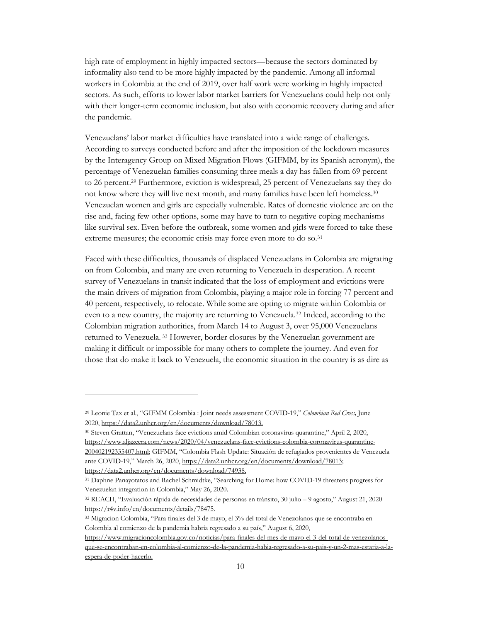high rate of employment in highly impacted sectors—because the sectors dominated by informality also tend to be more highly impacted by the pandemic. Among all informal workers in Colombia at the end of 2019, over half work were working in highly impacted sectors. As such, efforts to lower labor market barriers for Venezuelans could help not only with their longer-term economic inclusion, but also with economic recovery during and after the pandemic.

Venezuelans' labor market difficulties have translated into a wide range of challenges. According to surveys conducted before and after the imposition of the lockdown measures by the Interagency Group on Mixed Migration Flows (GIFMM, by its Spanish acronym), the percentage of Venezuelan families consuming three meals a day has fallen from 69 percent to 26 percent.29 Furthermore, eviction is widespread, 25 percent of Venezuelans say they do not know where they will live next month, and many families have been left homeless.30 Venezuelan women and girls are especially vulnerable. Rates of domestic violence are on the rise and, facing few other options, some may have to turn to negative coping mechanisms like survival sex. Even before the outbreak, some women and girls were forced to take these extreme measures; the economic crisis may force even more to do so.<sup>31</sup>

Faced with these difficulties, thousands of displaced Venezuelans in Colombia are migrating on from Colombia, and many are even returning to Venezuela in desperation. A recent survey of Venezuelans in transit indicated that the loss of employment and evictions were the main drivers of migration from Colombia, playing a major role in forcing 77 percent and 40 percent, respectively, to relocate. While some are opting to migrate within Colombia or even to a new country, the majority are returning to Venezuela.32 Indeed, according to the Colombian migration authorities, from March 14 to August 3, over 95,000 Venezuelans returned to Venezuela. <sup>33</sup> However, border closures by the Venezuelan government are making it difficult or impossible for many others to complete the journey. And even for those that do make it back to Venezuela, the economic situation in the country is as dire as

<sup>29</sup> Leonie Tax et al., "GIFMM Colombia : Joint needs assessment COVID-19," *Colombian Red Cross,* June 2020, https://data2.unhcr.org/en/documents/download/78013.

<sup>30</sup> Steven Grattan, "Venezuelans face evictions amid Colombian coronavirus quarantine," April 2, 2020, https://www.aljazeera.com/news/2020/04/venezuelans-face-evictions-colombia-coronavirus-quarantine-200402192335407.html; GIFMM, "Colombia Flash Update: Situación de refugiados provenientes de Venezuela ante COVID-19," March 26, 2020, https://data2.unhcr.org/en/documents/download/78013; https://data2.unhcr.org/en/documents/download/74938.

<sup>31</sup> Daphne Panayotatos and Rachel Schmidtke, "Searching for Home: how COVID-19 threatens progress for Venezuelan integration in Colombia," May 26, 2020.

<sup>32</sup> REACH, "Evaluación rápida de necesidades de personas en tránsito, 30 julio – 9 agosto," August 21, 2020 https://r4v.info/en/documents/details/78475.

<sup>33</sup> Migracion Colombia, "Para finales del 3 de mayo, el 3% del total de Venezolanos que se encontraba en Colombia al comienzo de la pandemia habría regresado a su país," August 6, 2020,

https://www.migracioncolombia.gov.co/noticias/para-finales-del-mes-de-mayo-el-3-del-total-de-venezolanosque-se-encontraban-en-colombia-al-comienzo-de-la-pandemia-habia-regresado-a-su-pais-y-un-2-mas-estaria-a-laespera-de-poder-hacerlo.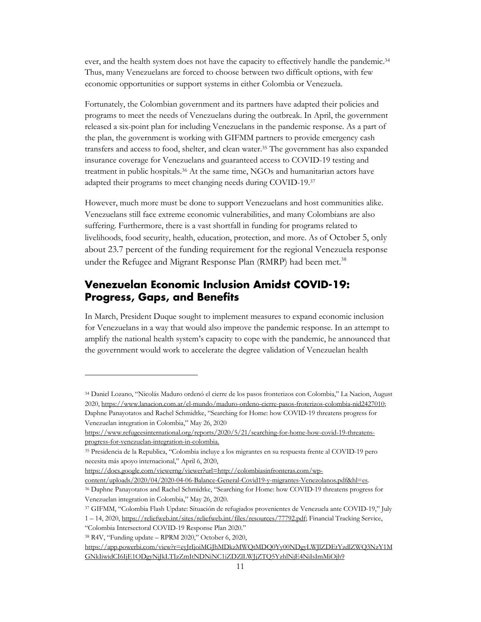ever, and the health system does not have the capacity to effectively handle the pandemic.34 Thus, many Venezuelans are forced to choose between two difficult options, with few economic opportunities or support systems in either Colombia or Venezuela.

Fortunately, the Colombian government and its partners have adapted their policies and programs to meet the needs of Venezuelans during the outbreak. In April, the government released a six-point plan for including Venezuelans in the pandemic response. As a part of the plan, the government is working with GIFMM partners to provide emergency cash transfers and access to food, shelter, and clean water.35 The government has also expanded insurance coverage for Venezuelans and guaranteed access to COVID-19 testing and treatment in public hospitals.36 At the same time, NGOs and humanitarian actors have adapted their programs to meet changing needs during COVID-19.37

However, much more must be done to support Venezuelans and host communities alike. Venezuelans still face extreme economic vulnerabilities, and many Colombians are also suffering. Furthermore, there is a vast shortfall in funding for programs related to livelihoods, food security, health, education, protection, and more. As of October 5, only about 23.7 percent of the funding requirement for the regional Venezuela response under the Refugee and Migrant Response Plan (RMRP) had been met.<sup>38</sup>

#### **Venezuelan Economic Inclusion Amidst COVID-19: Progress, Gaps, and Benefits**

In March, President Duque sought to implement measures to expand economic inclusion for Venezuelans in a way that would also improve the pandemic response. In an attempt to amplify the national health system's capacity to cope with the pandemic, he announced that the government would work to accelerate the degree validation of Venezuelan health

<sup>34</sup> Daniel Lozano, "Nicolás Maduro ordenó el cierre de los pasos fronterizos con Colombia," La Nacion, August 2020, https://www.lanacion.com.ar/el-mundo/maduro-ordeno-cierre-pasos-froterizos-colombia-nid2427010; Daphne Panayotatos and Rachel Schmidtke, "Searching for Home: how COVID-19 threatens progress for Venezuelan integration in Colombia," May 26, 2020

https://www.refugeesinternational.org/reports/2020/5/21/searching-for-home-how-covid-19-threatensprogress-for-venezuelan-integration-in-colombia.

<sup>35</sup> Presidencia de la Republica, "Colombia incluye a los migrantes en su respuesta frente al COVID-19 pero necesita más apoyo internacional," April 6, 2020,

https://docs.google.com/viewerng/viewer?url=http://colombiasinfronteras.com/wp-

content/uploads/2020/04/2020-04-06-Balance-General-Covid19-y-migrantes-Venezolanos.pdf&hl=es.

<sup>36</sup> Daphne Panayotatos and Rachel Schmidtke, "Searching for Home: how COVID-19 threatens progress for Venezuelan integration in Colombia," May 26, 2020.

<sup>37</sup> GIFMM, "Colombia Flash Update: Situación de refugiados provenientes de Venezuela ante COVID-19," July 1 – 14, 2020, https://reliefweb.int/sites/reliefweb.int/files/resources/77792.pdf; Financial Tracking Service,

<sup>&</sup>quot;Colombia Intersectoral COVID-19 Response Plan 2020."

<sup>38</sup> R4V, "Funding update – RPRM 2020," October 6, 2020,

https://app.powerbi.com/view?r=eyJrIjoiMGJhMDkzMWQtMDQ0Yy00NDgyLWJlZDEtYzdlZWQ3NzY1M GNkIiwidCI6IjE1ODgyNjJkLTIzZmItNDNiNC1iZDZlLWJjZTQ5YzhlNjE4NiIsImMiOjh9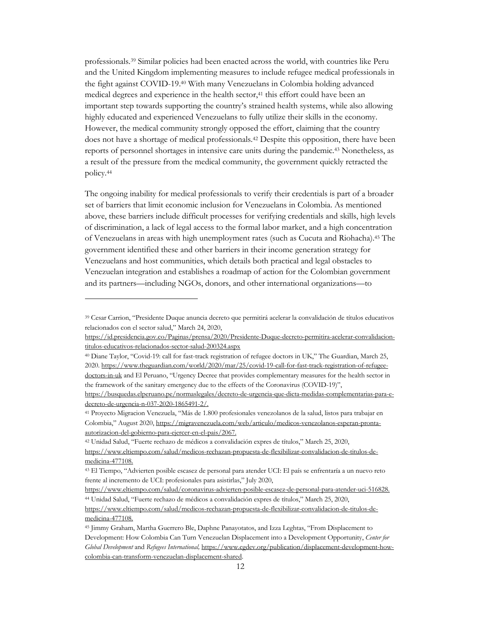professionals.39 Similar policies had been enacted across the world, with countries like Peru and the United Kingdom implementing measures to include refugee medical professionals in the fight against COVID-19.40 With many Venezuelans in Colombia holding advanced medical degrees and experience in the health sector,<sup>41</sup> this effort could have been an important step towards supporting the country's strained health systems, while also allowing highly educated and experienced Venezuelans to fully utilize their skills in the economy. However, the medical community strongly opposed the effort, claiming that the country does not have a shortage of medical professionals.42 Despite this opposition, there have been reports of personnel shortages in intensive care units during the pandemic.43 Nonetheless, as a result of the pressure from the medical community, the government quickly retracted the policy.44

The ongoing inability for medical professionals to verify their credentials is part of a broader set of barriers that limit economic inclusion for Venezuelans in Colombia. As mentioned above, these barriers include difficult processes for verifying credentials and skills, high levels of discrimination, a lack of legal access to the formal labor market, and a high concentration of Venezuelans in areas with high unemployment rates (such as Cucuta and Riohacha).45 The government identified these and other barriers in their income generation strategy for Venezuelans and host communities, which details both practical and legal obstacles to Venezuelan integration and establishes a roadmap of action for the Colombian government and its partners—including NGOs, donors, and other international organizations—to

<sup>39</sup> Cesar Carrion, "Presidente Duque anuncia decreto que permitirá acelerar la convalidación de títulos educativos relacionados con el sector salud," March 24, 2020,

https://id.presidencia.gov.co/Paginas/prensa/2020/Presidente-Duque-decreto-permitira-acelerar-convalidaciontitulos-educativos-relacionados-sector-salud-200324.aspx

<sup>40</sup> Diane Taylor, "Covid-19: call for fast-track registration of refugee doctors in UK," The Guardian, March 25, 2020. https://www.theguardian.com/world/2020/mar/25/covid-19-call-for-fast-track-registration-of-refugeedoctors-in-uk and El Peruano, "Urgency Decree that provides complementary measures for the health sector in the framework of the sanitary emergency due to the effects of the Coronavirus (COVID-19)",

https://busquedas.elperuano.pe/normaslegales/decreto-de-urgencia-que-dicta-medidas-complementarias-para-edecreto-de-urgencia-n-037-2020-1865491-2/.

<sup>41</sup> Proyecto Migracion Venezuela, "Más de 1.800 profesionales venezolanos de la salud, listos para trabajar en Colombia," August 2020, https://migravenezuela.com/web/articulo/medicos-venezolanos-esperan-prontaautorizacion-del-gobierno-para-ejercer-en-el-pais/2067.

<sup>42</sup> Unidad Salud, "Fuerte rechazo de médicos a convalidación expres de títulos," March 25, 2020,

https://www.eltiempo.com/salud/medicos-rechazan-propuesta-de-flexibilizar-convalidacion-de-titulos-demedicina-477108.

<sup>43</sup> El Tiempo, "Advierten posible escasez de personal para atender UCI: El país se enfrentaría a un nuevo reto frente al incremento de UCI: profesionales para asistirlas," July 2020,

https://www.eltiempo.com/salud/coronavirus-advierten-posible-escasez-de-personal-para-atender-uci-516828. <sup>44</sup> Unidad Salud, "Fuerte rechazo de médicos a convalidación expres de títulos," March 25, 2020,

https://www.eltiempo.com/salud/medicos-rechazan-propuesta-de-flexibilizar-convalidacion-de-titulos-demedicina-477108.

<sup>45</sup> Jimmy Graham, Martha Guerrero Ble, Daphne Panayotatos, and Izza Leghtas, "From Displacement to Development: How Colombia Can Turn Venezuelan Displacement into a Development Opportunity, *Center for Global Development* and *Refugees International,* https://www.cgdev.org/publication/displacement-development-howcolombia-can-transform-venezuelan-displacement-shared.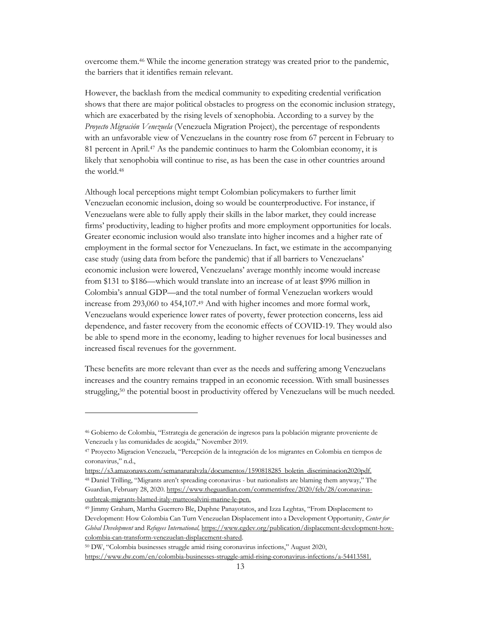overcome them.46 While the income generation strategy was created prior to the pandemic, the barriers that it identifies remain relevant.

However, the backlash from the medical community to expediting credential verification shows that there are major political obstacles to progress on the economic inclusion strategy, which are exacerbated by the rising levels of xenophobia. According to a survey by the *Proyecto Migración Venezuela* (Venezuela Migration Project), the percentage of respondents with an unfavorable view of Venezuelans in the country rose from 67 percent in February to 81 percent in April.47 As the pandemic continues to harm the Colombian economy, it is likely that xenophobia will continue to rise, as has been the case in other countries around the world.48

Although local perceptions might tempt Colombian policymakers to further limit Venezuelan economic inclusion, doing so would be counterproductive. For instance, if Venezuelans were able to fully apply their skills in the labor market, they could increase firms' productivity, leading to higher profits and more employment opportunities for locals. Greater economic inclusion would also translate into higher incomes and a higher rate of employment in the formal sector for Venezuelans. In fact, we estimate in the accompanying case study (using data from before the pandemic) that if all barriers to Venezuelans' economic inclusion were lowered, Venezuelans' average monthly income would increase from \$131 to \$186—which would translate into an increase of at least \$996 million in Colombia's annual GDP—and the total number of formal Venezuelan workers would increase from 293,060 to 454,107.49 And with higher incomes and more formal work, Venezuelans would experience lower rates of poverty, fewer protection concerns, less aid dependence, and faster recovery from the economic effects of COVID-19. They would also be able to spend more in the economy, leading to higher revenues for local businesses and increased fiscal revenues for the government.

These benefits are more relevant than ever as the needs and suffering among Venezuelans increases and the country remains trapped in an economic recession. With small businesses struggling,<sup>50</sup> the potential boost in productivity offered by Venezuelans will be much needed.

<sup>46</sup> Gobierno de Colombia, "Estrategia de generación de ingresos para la población migrante proveniente de Venezuela y las comunidades de acogida," November 2019.

<sup>47</sup> Proyecto Migracion Venezuela, "Percepción de la integración de los migrantes en Colombia en tiempos de coronavirus," n.d.,

https://s3.amazonaws.com/semanaruralvzla/documentos/1590818285\_boletin\_discriminacion2020pdf. <sup>48</sup> Daniel Trilling, "Migrants aren't spreading coronavirus - but nationalists are blaming them anyway," The Guardian, February 28, 2020. https://www.theguardian.com/commentisfree/2020/feb/28/coronavirusoutbreak-migrants-blamed-italy-matteosalvini-marine-le-pen.

<sup>49</sup> Jimmy Graham, Martha Guerrero Ble, Daphne Panayotatos, and Izza Leghtas, "From Displacement to Development: How Colombia Can Turn Venezuelan Displacement into a Development Opportunity, *Center for Global Development* and *Refugees International,* https://www.cgdev.org/publication/displacement-development-howcolombia-can-transform-venezuelan-displacement-shared.

<sup>50</sup> DW, "Colombia businesses struggle amid rising coronavirus infections," August 2020, https://www.dw.com/en/colombia-businesses-struggle-amid-rising-coronavirus-infections/a-54413581.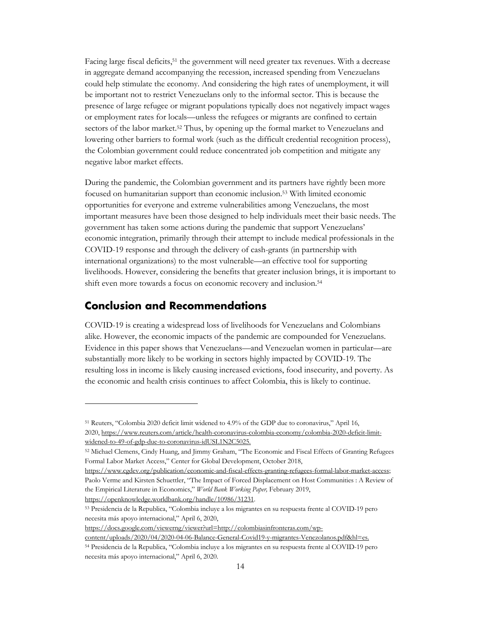Facing large fiscal deficits,<sup>51</sup> the government will need greater tax revenues. With a decrease in aggregate demand accompanying the recession, increased spending from Venezuelans could help stimulate the economy. And considering the high rates of unemployment, it will be important not to restrict Venezuelans only to the informal sector. This is because the presence of large refugee or migrant populations typically does not negatively impact wages or employment rates for locals—unless the refugees or migrants are confined to certain sectors of the labor market.<sup>52</sup> Thus, by opening up the formal market to Venezuelans and lowering other barriers to formal work (such as the difficult credential recognition process), the Colombian government could reduce concentrated job competition and mitigate any negative labor market effects.

During the pandemic, the Colombian government and its partners have rightly been more focused on humanitarian support than economic inclusion.53 With limited economic opportunities for everyone and extreme vulnerabilities among Venezuelans, the most important measures have been those designed to help individuals meet their basic needs. The government has taken some actions during the pandemic that support Venezuelans' economic integration, primarily through their attempt to include medical professionals in the COVID-19 response and through the delivery of cash-grants (in partnership with international organizations) to the most vulnerable—an effective tool for supporting livelihoods. However, considering the benefits that greater inclusion brings, it is important to shift even more towards a focus on economic recovery and inclusion.54

#### **Conclusion and Recommendations**

COVID-19 is creating a widespread loss of livelihoods for Venezuelans and Colombians alike. However, the economic impacts of the pandemic are compounded for Venezuelans. Evidence in this paper shows that Venezuelans—and Venezuelan women in particular—are substantially more likely to be working in sectors highly impacted by COVID-19. The resulting loss in income is likely causing increased evictions, food insecurity, and poverty. As the economic and health crisis continues to affect Colombia, this is likely to continue.

<sup>51</sup> Reuters, "Colombia 2020 deficit limit widened to 4.9% of the GDP due to coronavirus," April 16, 2020, https://www.reuters.com/article/health-coronavirus-colombia-economy/colombia-2020-deficit-limitwidened-to-49-of-gdp-due-to-coronavirus-idUSL1N2C5025.

<sup>52</sup> Michael Clemens, Cindy Huang, and Jimmy Graham, "The Economic and Fiscal Effects of Granting Refugees Formal Labor Market Access," Center for Global Development, October 2018,

https://www.cgdev.org/publication/economic-and-fiscal-effects-granting-refugees-formal-labor-market-access; Paolo Verme and Kirsten Schuettler, "The Impact of Forced Displacement on Host Communities : A Review of the Empirical Literature in Economics," *World Bank Working Paper,* February 2019, https://openknowledge.worldbank.org/handle/10986/31231.

<sup>53</sup> Presidencia de la Republica, "Colombia incluye a los migrantes en su respuesta frente al COVID-19 pero necesita más apoyo internacional," April 6, 2020,

https://docs.google.com/viewerng/viewer?url=http://colombiasinfronteras.com/wp-

content/uploads/2020/04/2020-04-06-Balance-General-Covid19-y-migrantes-Venezolanos.pdf&hl=es. <sup>54</sup> Presidencia de la Republica, "Colombia incluye a los migrantes en su respuesta frente al COVID-19 pero

necesita más apoyo internacional," April 6, 2020.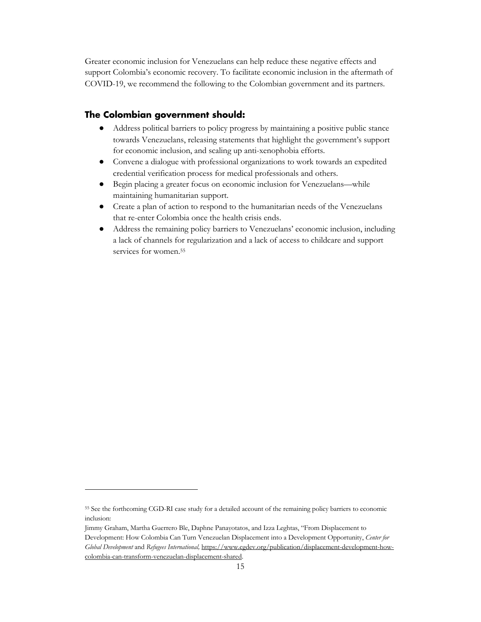Greater economic inclusion for Venezuelans can help reduce these negative effects and support Colombia's economic recovery. To facilitate economic inclusion in the aftermath of COVID-19, we recommend the following to the Colombian government and its partners.

#### **The Colombian government should:**

- Address political barriers to policy progress by maintaining a positive public stance towards Venezuelans, releasing statements that highlight the government's support for economic inclusion, and scaling up anti-xenophobia efforts.
- Convene a dialogue with professional organizations to work towards an expedited credential verification process for medical professionals and others.
- Begin placing a greater focus on economic inclusion for Venezuelans—while maintaining humanitarian support.
- Create a plan of action to respond to the humanitarian needs of the Venezuelans that re-enter Colombia once the health crisis ends.
- Address the remaining policy barriers to Venezuelans' economic inclusion, including a lack of channels for regularization and a lack of access to childcare and support services for women.55

<sup>55</sup> See the forthcoming CGD-RI case study for a detailed account of the remaining policy barriers to economic inclusion:

Jimmy Graham, Martha Guerrero Ble, Daphne Panayotatos, and Izza Leghtas, "From Displacement to Development: How Colombia Can Turn Venezuelan Displacement into a Development Opportunity, *Center for Global Development* and *Refugees International,* https://www.cgdev.org/publication/displacement-development-howcolombia-can-transform-venezuelan-displacement-shared.